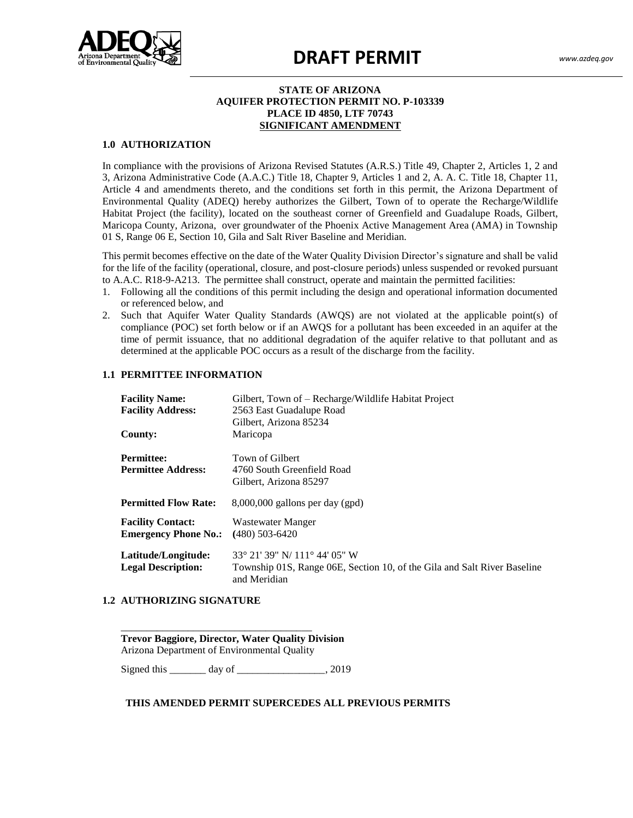

# **DRAFT PERMIT** *www.azdeq.gov*

## **STATE OF ARIZONA AQUIFER PROTECTION PERMIT NO. P-103339 PLACE ID 4850, LTF 70743 SIGNIFICANT AMENDMENT**

#### **1.0 AUTHORIZATION**

te suite de suite de suite de suite de suite de suite de suite de suite de suite de suite de suite de suite de<br>Suite de suite de suite de suite de suite de suite de suite de suite de suite de suite de suite de suite de su  $\frac{1}{3}$  Tucson,  $\frac{1}{3}$ In compliance with the provisions of Arizona Revised Statutes (A.R.S.) Title 49, Chapter 2, Articles 1, 2 and 3, Arizona Administrative Code (A.A.C.) Title 18, Chapter 9, Articles 1 and 2, A. A. C. Title 18, Chapter 11, Article 4 and amendments thereto, and the conditions set forth in this permit, the Arizona Department of Environmental Quality (ADEQ) hereby authorizes the Gilbert, Town of to operate the Recharge/Wildlife Habitat Project (the facility), located on the southeast corner of Greenfield and Guadalupe Roads, Gilbert, Maricopa County, Arizona, over groundwater of the Phoenix Active Management Area (AMA) in Township 01 S, Range 06 E, Section 10, Gila and Salt River Baseline and Meridian.

This permit becomes effective on the date of the Water Quality Division Director's signature and shall be valid for the life of the facility (operational, closure, and post-closure periods) unless suspended or revoked pursuant to A.A.C. R18-9-A213. The permittee shall construct, operate and maintain the permitted facilities:

- 1. Following all the conditions of this permit including the design and operational information documented or referenced below, and
- 2. Such that Aquifer Water Quality Standards (AWQS) are not violated at the applicable point(s) of compliance (POC) set forth below or if an AWQS for a pollutant has been exceeded in an aquifer at the time of permit issuance, that no additional degradation of the aquifer relative to that pollutant and as determined at the applicable POC occurs as a result of the discharge from the facility.

### **1.1 PERMITTEE INFORMATION**

| <b>Facility Name:</b>                                   | Gilbert, Town of - Recharge/Wildlife Habitat Project                                                                      |
|---------------------------------------------------------|---------------------------------------------------------------------------------------------------------------------------|
| <b>Facility Address:</b>                                | 2563 East Guadalupe Road                                                                                                  |
|                                                         | Gilbert, Arizona 85234                                                                                                    |
| County:                                                 | Maricopa                                                                                                                  |
| <b>Permittee:</b><br><b>Permittee Address:</b>          | Town of Gilbert<br>4760 South Greenfield Road<br>Gilbert, Arizona 85297                                                   |
| <b>Permitted Flow Rate:</b>                             | $8,000,000$ gallons per day (gpd)                                                                                         |
| <b>Facility Contact:</b><br><b>Emergency Phone No.:</b> | Wastewater Manger<br>$(480)$ 503-6420                                                                                     |
| Latitude/Longitude:<br><b>Legal Description:</b>        | 33° 21′ 39″ N/ 111° 44′ 05″ W<br>Township 01S, Range 06E, Section 10, of the Gila and Salt River Baseline<br>and Meridian |

#### **1.2 AUTHORIZING SIGNATURE**

| <b>Trevor Baggiore, Director, Water Quality Division</b> |  |
|----------------------------------------------------------|--|
| Arizona Department of Environmental Quality              |  |

Signed this day of \_\_\_\_\_\_\_\_\_\_\_\_\_\_\_, 2019

## **THIS AMENDED PERMIT SUPERCEDES ALL PREVIOUS PERMITS**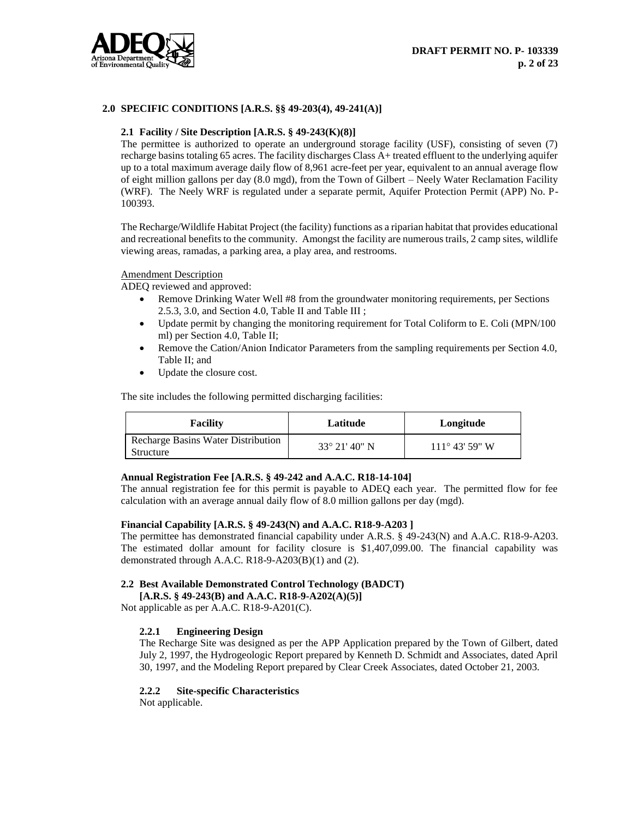

## **2.0 SPECIFIC CONDITIONS [A.R.S. §§ 49-203(4), 49-241(A)]**

#### **2.1 Facility / Site Description [A.R.S. § 49-243(K)(8)]**

The permittee is authorized to operate an underground storage facility (USF), consisting of seven (7) recharge basins totaling 65 acres. The facility discharges Class A+ treated effluent to the underlying aquifer up to a total maximum average daily flow of 8,961 acre-feet per year, equivalent to an annual average flow of eight million gallons per day (8.0 mgd), from the Town of Gilbert – Neely Water Reclamation Facility (WRF). The Neely WRF is regulated under a separate permit, Aquifer Protection Permit (APP) No. P-100393.

The Recharge/Wildlife Habitat Project (the facility) functions as a riparian habitat that provides educational and recreational benefits to the community. Amongst the facility are numerous trails, 2 camp sites, wildlife viewing areas, ramadas, a parking area, a play area, and restrooms.

#### Amendment Description

ADEQ reviewed and approved:

- Remove Drinking Water Well #8 from the groundwater monitoring requirements, per Sections 2.5.3, 3.0, and Section 4.0, Table II and Table III ;
- Update permit by changing the monitoring requirement for Total Coliform to E. Coli (MPN/100 ml) per Section 4.0, Table II;
- Remove the Cation/Anion Indicator Parameters from the sampling requirements per Section 4.0, Table II; and
- Update the closure cost.

The site includes the following permitted discharging facilities:

| <b>Facility</b>                                 | Latitude               | Longitude               |
|-------------------------------------------------|------------------------|-------------------------|
| Recharge Basins Water Distribution<br>Structure | $33^{\circ}$ 21' 40" N | $111^{\circ}$ 43' 59" W |

## **Annual Registration Fee [A.R.S. § 49-242 and A.A.C. R18-14-104]**

The annual registration fee for this permit is payable to ADEQ each year. The permitted flow for fee calculation with an average annual daily flow of 8.0 million gallons per day (mgd).

#### **Financial Capability [A.R.S. § 49-243(N) and A.A.C. R18-9-A203 ]**

The permittee has demonstrated financial capability under A.R.S. § 49-243(N) and A.A.C. R18-9-A203. The estimated dollar amount for facility closure is \$1,407,099.00. The financial capability was demonstrated through A.A.C. R18-9-A203(B)(1) and (2).

## **2.2 Best Available Demonstrated Control Technology (BADCT)**

**[A.R.S. § 49-243(B) and A.A.C. R18-9-A202(A)(5)]**

Not applicable as per A.A.C. R18-9-A201(C).

#### **2.2.1 Engineering Design**

The Recharge Site was designed as per the APP Application prepared by the Town of Gilbert, dated July 2, 1997, the Hydrogeologic Report prepared by Kenneth D. Schmidt and Associates, dated April 30, 1997, and the Modeling Report prepared by Clear Creek Associates, dated October 21, 2003.

#### **2.2.2 Site-specific Characteristics**

Not applicable.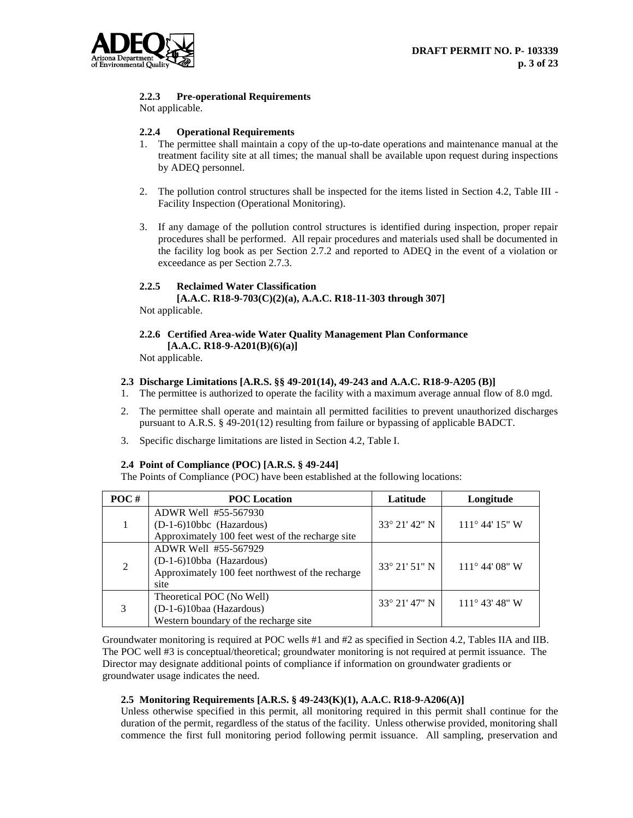

## **2.2.3 Pre-operational Requirements**

Not applicable.

## **2.2.4 Operational Requirements**

- 1. The permittee shall maintain a copy of the up-to-date operations and maintenance manual at the treatment facility site at all times; the manual shall be available upon request during inspections by ADEQ personnel.
- 2. The pollution control structures shall be inspected for the items listed in Section 4.2, Table III Facility Inspection (Operational Monitoring).
- 3. If any damage of the pollution control structures is identified during inspection, proper repair procedures shall be performed. All repair procedures and materials used shall be documented in the facility log book as per Section 2.7.2 and reported to ADEQ in the event of a violation or exceedance as per Section 2.7.3.

## **2.2.5 Reclaimed Water Classification**

**[A.A.C. R18-9-703(C)(2)(a), A.A.C. R18-11-303 through 307]** Not applicable.

## **2.2.6 Certified Area-wide Water Quality Management Plan Conformance [A.A.C. R18-9-A201(B)(6)(a)]**

Not applicable.

#### **2.3 Discharge Limitations [A.R.S. §§ 49-201(14), 49-243 and A.A.C. R18-9-A205 (B)]**

- 1. The permittee is authorized to operate the facility with a maximum average annual flow of 8.0 mgd.
- 2. The permittee shall operate and maintain all permitted facilities to prevent unauthorized discharges pursuant to A.R.S. § 49-201(12) resulting from failure or bypassing of applicable BADCT.
- 3. Specific discharge limitations are listed in Section 4.2, Table I.

#### **2.4 Point of Compliance (POC) [A.R.S. § 49-244]**

The Points of Compliance (POC) have been established at the following locations:

| POC# | <b>POC</b> Location                              | Latitude               | Longitude               |
|------|--------------------------------------------------|------------------------|-------------------------|
|      | ADWR Well #55-567930                             |                        |                         |
|      | $(D-1-6)10$ bbc (Hazardous)                      | 33° 21′ 42″ N          | $111^{\circ}$ 44' 15" W |
|      | Approximately 100 feet west of the recharge site |                        |                         |
|      | ADWR Well #55-567929                             |                        |                         |
| 2    | (D-1-6)10bba (Hazardous)                         | $33^{\circ}$ 21' 51" N | $111^{\circ}$ 44' 08" W |
|      | Approximately 100 feet northwest of the recharge |                        |                         |
|      | site                                             |                        |                         |
| 3    | Theoretical POC (No Well)                        | 33° 21′ 47″ N          | $111^{\circ}$ 43' 48" W |
|      | (D-1-6)10baa (Hazardous)                         |                        |                         |
|      | Western boundary of the recharge site            |                        |                         |

Groundwater monitoring is required at POC wells #1 and #2 as specified in Section 4.2, Tables IIA and IIB. The POC well #3 is conceptual/theoretical; groundwater monitoring is not required at permit issuance. The Director may designate additional points of compliance if information on groundwater gradients or groundwater usage indicates the need.

## **2.5 Monitoring Requirements [A.R.S. § 49-243(K)(1), A.A.C. R18-9-A206(A)]**

Unless otherwise specified in this permit, all monitoring required in this permit shall continue for the duration of the permit, regardless of the status of the facility. Unless otherwise provided, monitoring shall commence the first full monitoring period following permit issuance. All sampling, preservation and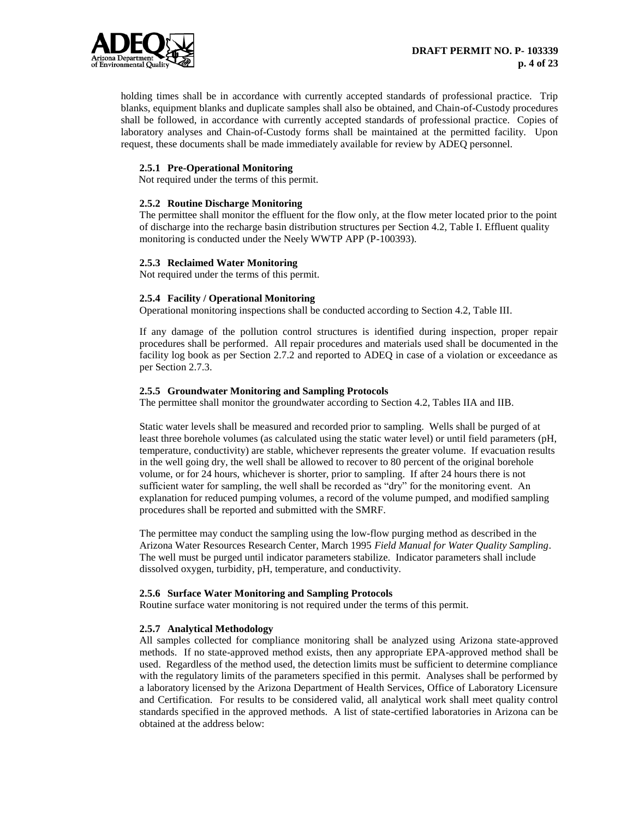

holding times shall be in accordance with currently accepted standards of professional practice. Trip blanks, equipment blanks and duplicate samples shall also be obtained, and Chain-of-Custody procedures shall be followed, in accordance with currently accepted standards of professional practice. Copies of laboratory analyses and Chain-of-Custody forms shall be maintained at the permitted facility. Upon request, these documents shall be made immediately available for review by ADEQ personnel.

## **2.5.1 Pre-Operational Monitoring**

Not required under the terms of this permit.

#### **2.5.2 Routine Discharge Monitoring**

The permittee shall monitor the effluent for the flow only, at the flow meter located prior to the point of discharge into the recharge basin distribution structures per Section 4.2, Table I. Effluent quality monitoring is conducted under the Neely WWTP APP (P-100393).

## **2.5.3 Reclaimed Water Monitoring**

Not required under the terms of this permit.

## **2.5.4 Facility / Operational Monitoring**

Operational monitoring inspections shall be conducted according to Section 4.2, Table III.

If any damage of the pollution control structures is identified during inspection, proper repair procedures shall be performed. All repair procedures and materials used shall be documented in the facility log book as per Section 2.7.2 and reported to ADEQ in case of a violation or exceedance as per Section 2.7.3.

## **2.5.5 Groundwater Monitoring and Sampling Protocols**

The permittee shall monitor the groundwater according to Section 4.2, Tables IIA and IIB.

Static water levels shall be measured and recorded prior to sampling. Wells shall be purged of at least three borehole volumes (as calculated using the static water level) or until field parameters (pH, temperature, conductivity) are stable, whichever represents the greater volume. If evacuation results in the well going dry, the well shall be allowed to recover to 80 percent of the original borehole volume, or for 24 hours, whichever is shorter, prior to sampling. If after 24 hours there is not sufficient water for sampling, the well shall be recorded as "dry" for the monitoring event. An explanation for reduced pumping volumes, a record of the volume pumped, and modified sampling procedures shall be reported and submitted with the SMRF.

The permittee may conduct the sampling using the low-flow purging method as described in the Arizona Water Resources Research Center, March 1995 *Field Manual for Water Quality Sampling*. The well must be purged until indicator parameters stabilize. Indicator parameters shall include dissolved oxygen, turbidity, pH, temperature, and conductivity.

## **2.5.6 Surface Water Monitoring and Sampling Protocols**

Routine surface water monitoring is not required under the terms of this permit.

#### **2.5.7 Analytical Methodology**

All samples collected for compliance monitoring shall be analyzed using Arizona state-approved methods. If no state-approved method exists, then any appropriate EPA-approved method shall be used. Regardless of the method used, the detection limits must be sufficient to determine compliance with the regulatory limits of the parameters specified in this permit. Analyses shall be performed by a laboratory licensed by the Arizona Department of Health Services, Office of Laboratory Licensure and Certification. For results to be considered valid, all analytical work shall meet quality control standards specified in the approved methods. A list of state-certified laboratories in Arizona can be obtained at the address below: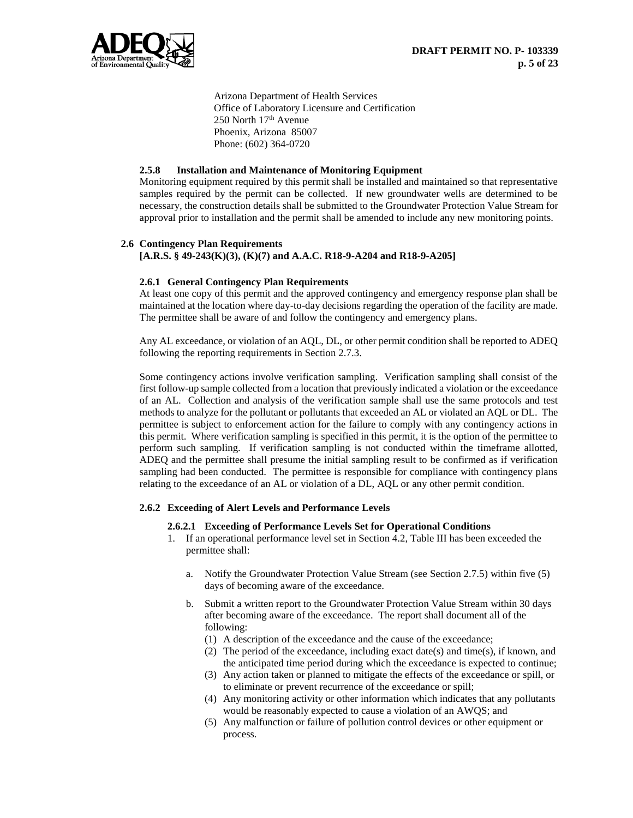

Arizona Department of Health Services Office of Laboratory Licensure and Certification 250 North 17th Avenue Phoenix, Arizona 85007 Phone: (602) 364-0720

## **2.5.8 Installation and Maintenance of Monitoring Equipment**

Monitoring equipment required by this permit shall be installed and maintained so that representative samples required by the permit can be collected. If new groundwater wells are determined to be necessary, the construction details shall be submitted to the Groundwater Protection Value Stream for approval prior to installation and the permit shall be amended to include any new monitoring points.

## **2.6 Contingency Plan Requirements [A.R.S. § 49-243(K)(3), (K)(7) and A.A.C. R18-9-A204 and R18-9-A205]**

## **2.6.1 General Contingency Plan Requirements**

At least one copy of this permit and the approved contingency and emergency response plan shall be maintained at the location where day-to-day decisions regarding the operation of the facility are made. The permittee shall be aware of and follow the contingency and emergency plans.

Any AL exceedance, or violation of an AQL, DL, or other permit condition shall be reported to ADEQ following the reporting requirements in Section 2.7.3.

Some contingency actions involve verification sampling. Verification sampling shall consist of the first follow-up sample collected from a location that previously indicated a violation or the exceedance of an AL. Collection and analysis of the verification sample shall use the same protocols and test methods to analyze for the pollutant or pollutants that exceeded an AL or violated an AQL or DL. The permittee is subject to enforcement action for the failure to comply with any contingency actions in this permit. Where verification sampling is specified in this permit, it is the option of the permittee to perform such sampling. If verification sampling is not conducted within the timeframe allotted, ADEQ and the permittee shall presume the initial sampling result to be confirmed as if verification sampling had been conducted. The permittee is responsible for compliance with contingency plans relating to the exceedance of an AL or violation of a DL, AQL or any other permit condition.

#### **2.6.2 Exceeding of Alert Levels and Performance Levels**

#### **2.6.2.1 Exceeding of Performance Levels Set for Operational Conditions**

- 1. If an operational performance level set in Section 4.2, Table III has been exceeded the permittee shall:
	- a. Notify the Groundwater Protection Value Stream (see Section 2.7.5) within five (5) days of becoming aware of the exceedance.
	- b. Submit a written report to the Groundwater Protection Value Stream within 30 days after becoming aware of the exceedance. The report shall document all of the following:
		- (1) A description of the exceedance and the cause of the exceedance;
		- (2) The period of the exceedance, including exact date(s) and time(s), if known, and the anticipated time period during which the exceedance is expected to continue;
		- (3) Any action taken or planned to mitigate the effects of the exceedance or spill, or to eliminate or prevent recurrence of the exceedance or spill;
		- (4) Any monitoring activity or other information which indicates that any pollutants would be reasonably expected to cause a violation of an AWQS; and
		- (5) Any malfunction or failure of pollution control devices or other equipment or process.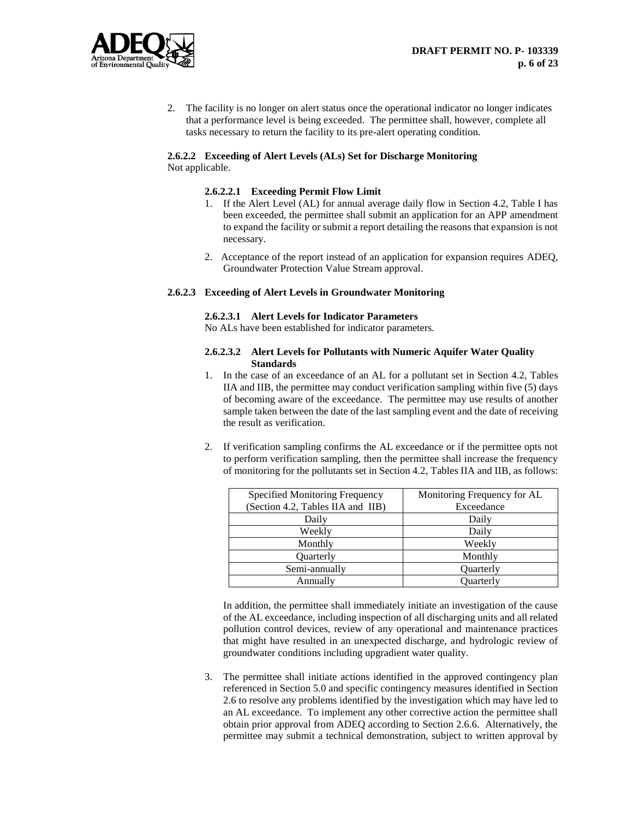

2. The facility is no longer on alert status once the operational indicator no longer indicates that a performance level is being exceeded. The permittee shall, however, complete all tasks necessary to return the facility to its pre-alert operating condition.

## **2.6.2.2 Exceeding of Alert Levels (ALs) Set for Discharge Monitoring** Not applicable.

## **2.6.2.2.1 Exceeding Permit Flow Limit**

- 1. If the Alert Level (AL) for annual average daily flow in Section 4.2, Table I has been exceeded, the permittee shall submit an application for an APP amendment to expand the facility or submit a report detailing the reasons that expansion is not necessary.
- 2. Acceptance of the report instead of an application for expansion requires ADEQ, Groundwater Protection Value Stream approval.

## **2.6.2.3 Exceeding of Alert Levels in Groundwater Monitoring**

#### **2.6.2.3.1 Alert Levels for Indicator Parameters**

No ALs have been established for indicator parameters.

#### **2.6.2.3.2 Alert Levels for Pollutants with Numeric Aquifer Water Quality Standards**

- 1. In the case of an exceedance of an AL for a pollutant set in Section 4.2, Tables IIA and IIB, the permittee may conduct verification sampling within five (5) days of becoming aware of the exceedance. The permittee may use results of another sample taken between the date of the last sampling event and the date of receiving the result as verification.
- 2. If verification sampling confirms the AL exceedance or if the permittee opts not to perform verification sampling, then the permittee shall increase the frequency of monitoring for the pollutants set in Section 4.2, Tables IIA and IIB, as follows:

| Specified Monitoring Frequency    | Monitoring Frequency for AL |
|-----------------------------------|-----------------------------|
| (Section 4.2, Tables IIA and IIB) | Exceedance                  |
| Daily                             | Daily                       |
| Weekly                            | Daily                       |
| Monthly                           | Weekly                      |
| Quarterly                         | Monthly                     |
| Semi-annually                     | Quarterly                   |
| Annually                          | <b>Ouarterly</b>            |

In addition, the permittee shall immediately initiate an investigation of the cause of the AL exceedance, including inspection of all discharging units and all related pollution control devices, review of any operational and maintenance practices that might have resulted in an unexpected discharge, and hydrologic review of groundwater conditions including upgradient water quality.

3. The permittee shall initiate actions identified in the approved contingency plan referenced in Section 5.0 and specific contingency measures identified in Section 2.6 to resolve any problems identified by the investigation which may have led to an AL exceedance. To implement any other corrective action the permittee shall obtain prior approval from ADEQ according to Section 2.6.6. Alternatively, the permittee may submit a technical demonstration, subject to written approval by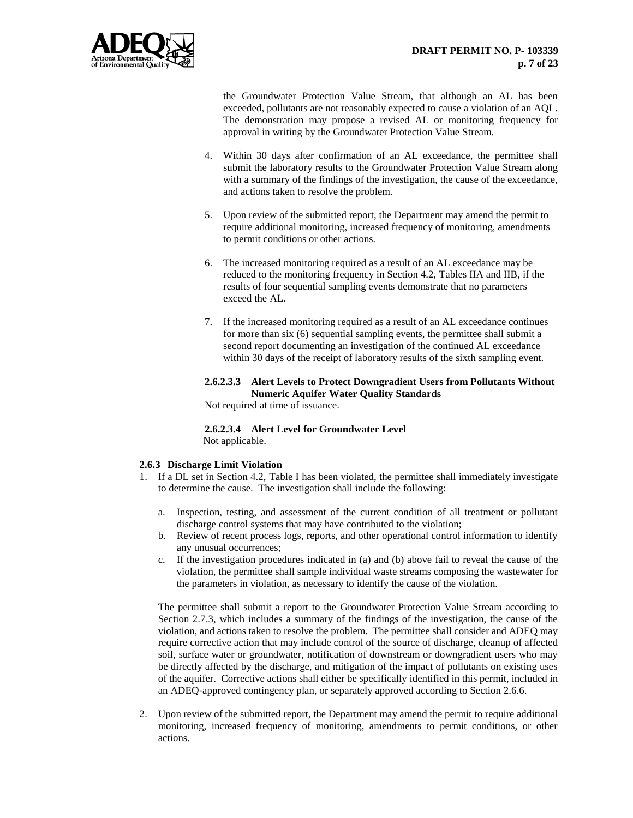

the Groundwater Protection Value Stream, that although an AL has been exceeded, pollutants are not reasonably expected to cause a violation of an AQL. The demonstration may propose a revised AL or monitoring frequency for approval in writing by the Groundwater Protection Value Stream.

- 4. Within 30 days after confirmation of an AL exceedance, the permittee shall submit the laboratory results to the Groundwater Protection Value Stream along with a summary of the findings of the investigation, the cause of the exceedance, and actions taken to resolve the problem.
- 5. Upon review of the submitted report, the Department may amend the permit to require additional monitoring, increased frequency of monitoring, amendments to permit conditions or other actions.
- 6. The increased monitoring required as a result of an AL exceedance may be reduced to the monitoring frequency in Section 4.2, Tables IIA and IIB, if the results of four sequential sampling events demonstrate that no parameters exceed the AL.
- 7. If the increased monitoring required as a result of an AL exceedance continues for more than six (6) sequential sampling events, the permittee shall submit a second report documenting an investigation of the continued AL exceedance within 30 days of the receipt of laboratory results of the sixth sampling event.

## **2.6.2.3.3 Alert Levels to Protect Downgradient Users from Pollutants Without Numeric Aquifer Water Quality Standards**

Not required at time of issuance.

**2.6.2.3.4 Alert Level for Groundwater Level** Not applicable.

## **2.6.3 Discharge Limit Violation**

- 1. If a DL set in Section 4.2, Table I has been violated, the permittee shall immediately investigate to determine the cause. The investigation shall include the following:
	- a. Inspection, testing, and assessment of the current condition of all treatment or pollutant discharge control systems that may have contributed to the violation;
	- b. Review of recent process logs, reports, and other operational control information to identify any unusual occurrences;
	- c. If the investigation procedures indicated in (a) and (b) above fail to reveal the cause of the violation, the permittee shall sample individual waste streams composing the wastewater for the parameters in violation, as necessary to identify the cause of the violation.

The permittee shall submit a report to the Groundwater Protection Value Stream according to Section 2.7.3, which includes a summary of the findings of the investigation, the cause of the violation, and actions taken to resolve the problem. The permittee shall consider and ADEQ may require corrective action that may include control of the source of discharge, cleanup of affected soil, surface water or groundwater, notification of downstream or downgradient users who may be directly affected by the discharge, and mitigation of the impact of pollutants on existing uses of the aquifer. Corrective actions shall either be specifically identified in this permit, included in an ADEQ-approved contingency plan, or separately approved according to Section 2.6.6.

2. Upon review of the submitted report, the Department may amend the permit to require additional monitoring, increased frequency of monitoring, amendments to permit conditions, or other actions.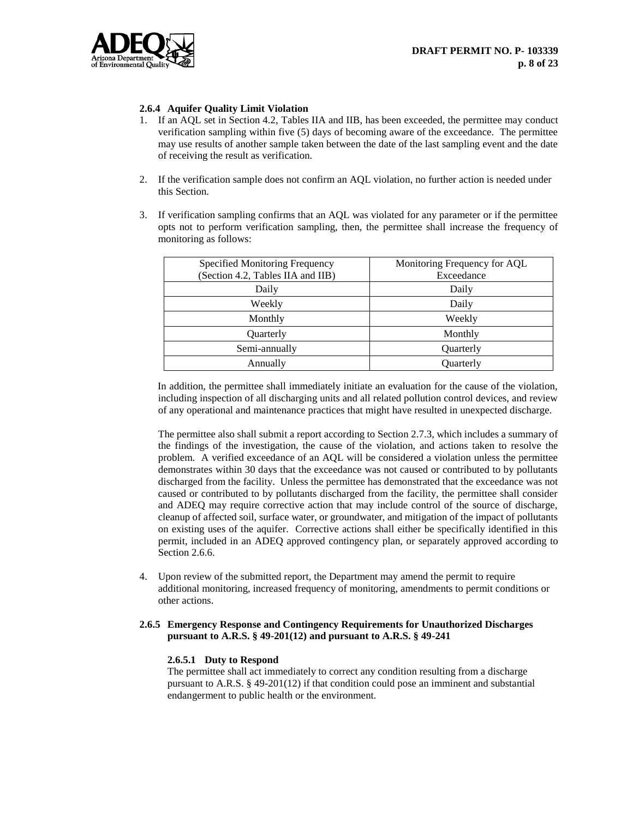

## **2.6.4 Aquifer Quality Limit Violation**

- 1. If an AQL set in Section 4.2, Tables IIA and IIB, has been exceeded, the permittee may conduct verification sampling within five (5) days of becoming aware of the exceedance. The permittee may use results of another sample taken between the date of the last sampling event and the date of receiving the result as verification.
- 2. If the verification sample does not confirm an AQL violation, no further action is needed under this Section.
- 3. If verification sampling confirms that an AQL was violated for any parameter or if the permittee opts not to perform verification sampling, then, the permittee shall increase the frequency of monitoring as follows:

| Specified Monitoring Frequency<br>(Section 4.2, Tables IIA and IIB) | Monitoring Frequency for AQL<br>Exceedance |
|---------------------------------------------------------------------|--------------------------------------------|
| Daily                                                               | Daily                                      |
| Weekly                                                              | Daily                                      |
| Monthly                                                             | Weekly                                     |
| Quarterly                                                           | Monthly                                    |
| Semi-annually                                                       | Quarterly                                  |
| Annually                                                            | Ouarterly                                  |

In addition, the permittee shall immediately initiate an evaluation for the cause of the violation, including inspection of all discharging units and all related pollution control devices, and review of any operational and maintenance practices that might have resulted in unexpected discharge.

The permittee also shall submit a report according to Section 2.7.3, which includes a summary of the findings of the investigation, the cause of the violation, and actions taken to resolve the problem. A verified exceedance of an AQL will be considered a violation unless the permittee demonstrates within 30 days that the exceedance was not caused or contributed to by pollutants discharged from the facility. Unless the permittee has demonstrated that the exceedance was not caused or contributed to by pollutants discharged from the facility, the permittee shall consider and ADEQ may require corrective action that may include control of the source of discharge, cleanup of affected soil, surface water, or groundwater, and mitigation of the impact of pollutants on existing uses of the aquifer. Corrective actions shall either be specifically identified in this permit, included in an ADEQ approved contingency plan, or separately approved according to Section 2.6.6.

4. Upon review of the submitted report, the Department may amend the permit to require additional monitoring, increased frequency of monitoring, amendments to permit conditions or other actions.

## **2.6.5 Emergency Response and Contingency Requirements for Unauthorized Discharges pursuant to A.R.S. § 49-201(12) and pursuant to A.R.S. § 49-241**

#### **2.6.5.1 Duty to Respond**

The permittee shall act immediately to correct any condition resulting from a discharge pursuant to A.R.S. § 49-201(12) if that condition could pose an imminent and substantial endangerment to public health or the environment.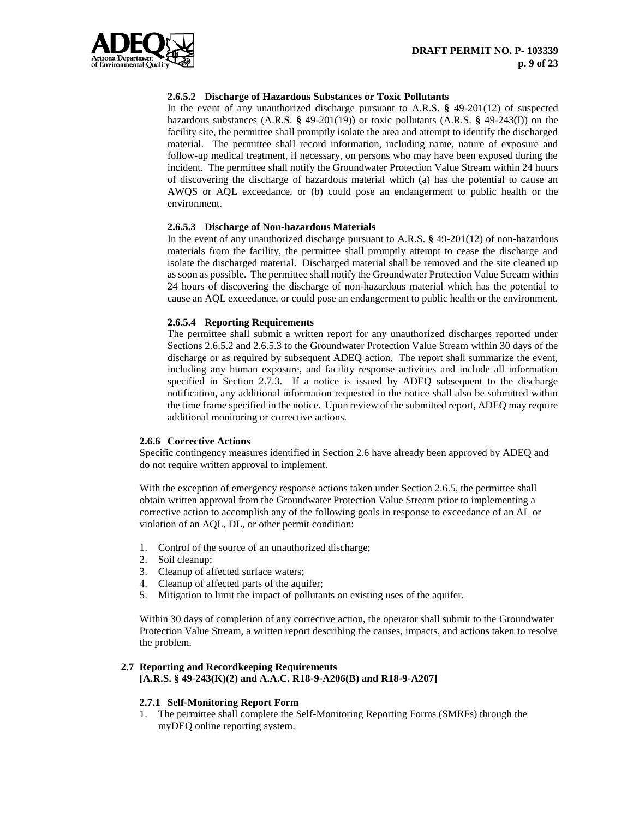

## **2.6.5.2 Discharge of Hazardous Substances or Toxic Pollutants**

In the event of any unauthorized discharge pursuant to A.R.S. **§** 49-201(12) of suspected hazardous substances (A.R.S. **§** 49-201(19)) or toxic pollutants (A.R.S. **§** 49-243(I)) on the facility site, the permittee shall promptly isolate the area and attempt to identify the discharged material. The permittee shall record information, including name, nature of exposure and follow-up medical treatment, if necessary, on persons who may have been exposed during the incident. The permittee shall notify the Groundwater Protection Value Stream within 24 hours of discovering the discharge of hazardous material which (a) has the potential to cause an AWQS or AQL exceedance, or (b) could pose an endangerment to public health or the environment.

## **2.6.5.3 Discharge of Non-hazardous Materials**

In the event of any unauthorized discharge pursuant to A.R.S. **§** 49-201(12) of non-hazardous materials from the facility, the permittee shall promptly attempt to cease the discharge and isolate the discharged material. Discharged material shall be removed and the site cleaned up as soon as possible. The permittee shall notify the Groundwater Protection Value Stream within 24 hours of discovering the discharge of non-hazardous material which has the potential to cause an AQL exceedance, or could pose an endangerment to public health or the environment.

#### **2.6.5.4 Reporting Requirements**

The permittee shall submit a written report for any unauthorized discharges reported under Sections 2.6.5.2 and 2.6.5.3 to the Groundwater Protection Value Stream within 30 days of the discharge or as required by subsequent ADEQ action. The report shall summarize the event, including any human exposure, and facility response activities and include all information specified in Section 2.7.3. If a notice is issued by ADEQ subsequent to the discharge notification, any additional information requested in the notice shall also be submitted within the time frame specified in the notice. Upon review of the submitted report, ADEQ may require additional monitoring or corrective actions.

#### **2.6.6 Corrective Actions**

Specific contingency measures identified in Section 2.6 have already been approved by ADEQ and do not require written approval to implement.

With the exception of emergency response actions taken under Section 2.6.5, the permittee shall obtain written approval from the Groundwater Protection Value Stream prior to implementing a corrective action to accomplish any of the following goals in response to exceedance of an AL or violation of an AQL, DL, or other permit condition:

- 1. Control of the source of an unauthorized discharge;
- 2. Soil cleanup;
- 3. Cleanup of affected surface waters;
- 4. Cleanup of affected parts of the aquifer;<br>5. Mitigation to limit the impact of pollutar
- Mitigation to limit the impact of pollutants on existing uses of the aquifer.

Within 30 days of completion of any corrective action, the operator shall submit to the Groundwater Protection Value Stream, a written report describing the causes, impacts, and actions taken to resolve the problem.

# **2.7 Reporting and Recordkeeping Requirements**

**[A.R.S. § 49-243(K)(2) and A.A.C. R18-9-A206(B) and R18-9-A207]**

#### **2.7.1 Self-Monitoring Report Form**

1. The permittee shall complete the Self-Monitoring Reporting Forms (SMRFs) through the myDEQ online reporting system.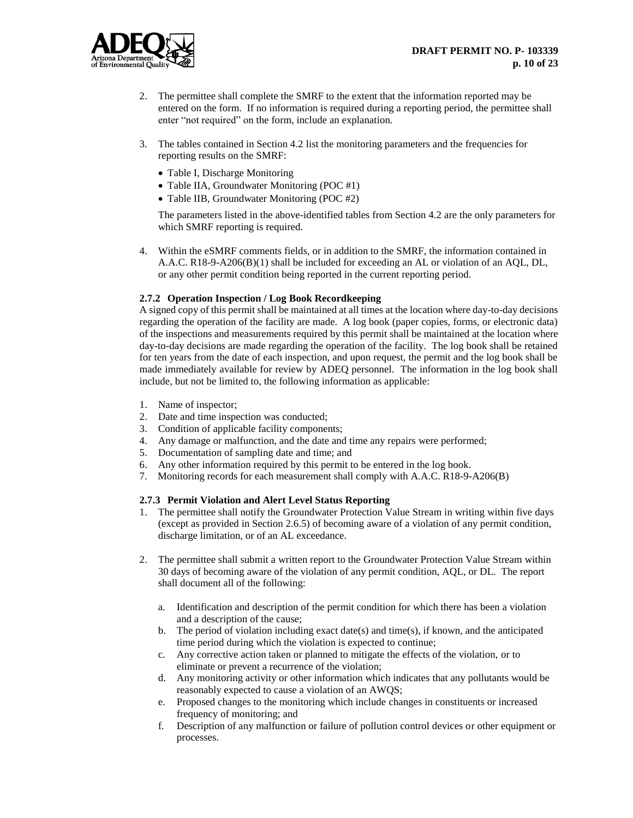

- 2. The permittee shall complete the SMRF to the extent that the information reported may be entered on the form. If no information is required during a reporting period, the permittee shall enter "not required" on the form, include an explanation.
- 3. The tables contained in Section 4.2 list the monitoring parameters and the frequencies for reporting results on the SMRF:
	- Table I, Discharge Monitoring
	- Table IIA, Groundwater Monitoring (POC #1)
	- Table IIB, Groundwater Monitoring (POC #2)

The parameters listed in the above-identified tables from Section 4.2 are the only parameters for which SMRF reporting is required.

4. Within the eSMRF comments fields, or in addition to the SMRF, the information contained in A.A.C. R18-9-A206(B)(1) shall be included for exceeding an AL or violation of an AQL, DL, or any other permit condition being reported in the current reporting period.

## **2.7.2 Operation Inspection / Log Book Recordkeeping**

A signed copy of this permit shall be maintained at all times at the location where day-to-day decisions regarding the operation of the facility are made. A log book (paper copies, forms, or electronic data) of the inspections and measurements required by this permit shall be maintained at the location where day-to-day decisions are made regarding the operation of the facility. The log book shall be retained for ten years from the date of each inspection, and upon request, the permit and the log book shall be made immediately available for review by ADEQ personnel. The information in the log book shall include, but not be limited to, the following information as applicable:

- 1. Name of inspector;
- 2. Date and time inspection was conducted;
- 3. Condition of applicable facility components;
- 4. Any damage or malfunction, and the date and time any repairs were performed;
- 5. Documentation of sampling date and time; and
- 6. Any other information required by this permit to be entered in the log book.
- 7. Monitoring records for each measurement shall comply with A.A.C. R18-9-A206(B)

## **2.7.3 Permit Violation and Alert Level Status Reporting**

- 1. The permittee shall notify the Groundwater Protection Value Stream in writing within five days (except as provided in Section 2.6.5) of becoming aware of a violation of any permit condition, discharge limitation, or of an AL exceedance.
- 2. The permittee shall submit a written report to the Groundwater Protection Value Stream within 30 days of becoming aware of the violation of any permit condition, AQL, or DL. The report shall document all of the following:
	- a. Identification and description of the permit condition for which there has been a violation and a description of the cause;
	- b. The period of violation including exact date(s) and time(s), if known, and the anticipated time period during which the violation is expected to continue;
	- c. Any corrective action taken or planned to mitigate the effects of the violation, or to eliminate or prevent a recurrence of the violation;
	- d. Any monitoring activity or other information which indicates that any pollutants would be reasonably expected to cause a violation of an AWQS;
	- e. Proposed changes to the monitoring which include changes in constituents or increased frequency of monitoring; and
	- f. Description of any malfunction or failure of pollution control devices or other equipment or processes.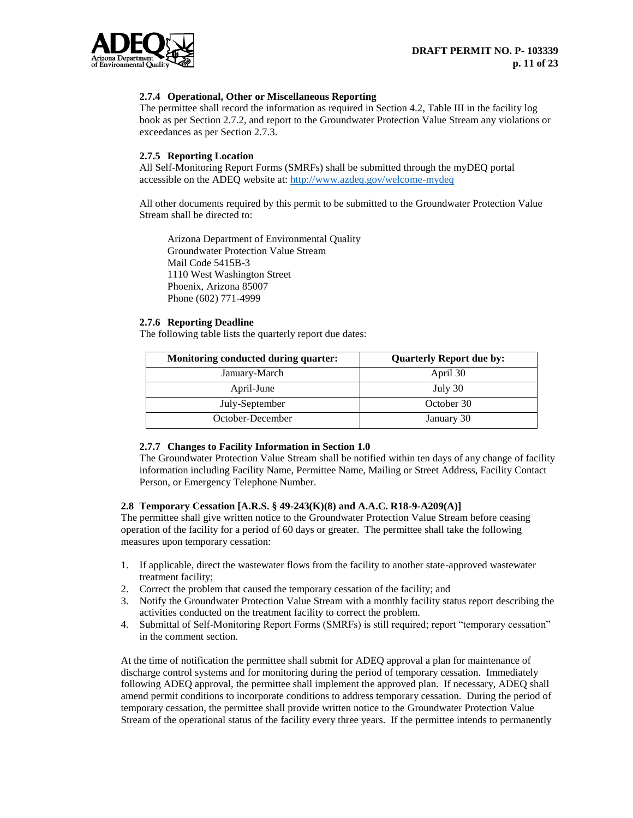

## **2.7.4 Operational, Other or Miscellaneous Reporting**

The permittee shall record the information as required in Section 4.2, Table III in the facility log book as per Section 2.7.2, and report to the Groundwater Protection Value Stream any violations or exceedances as per Section 2.7.3.

## **2.7.5 Reporting Location**

All Self-Monitoring Report Forms (SMRFs) shall be submitted through the myDEQ portal accessible on the ADEQ website at: <http://www.azdeq.gov/welcome-mydeq>

All other documents required by this permit to be submitted to the Groundwater Protection Value Stream shall be directed to:

Arizona Department of Environmental Quality Groundwater Protection Value Stream Mail Code 5415B-3 1110 West Washington Street Phoenix, Arizona 85007 Phone (602) 771-4999

## **2.7.6 Reporting Deadline**

The following table lists the quarterly report due dates:

| Monitoring conducted during quarter: | <b>Quarterly Report due by:</b> |  |  |
|--------------------------------------|---------------------------------|--|--|
| January-March                        | April 30                        |  |  |
| April-June                           | July 30                         |  |  |
| July-September                       | October 30                      |  |  |
| October-December                     | January 30                      |  |  |

#### **2.7.7 Changes to Facility Information in Section 1.0**

The Groundwater Protection Value Stream shall be notified within ten days of any change of facility information including Facility Name, Permittee Name, Mailing or Street Address, Facility Contact Person, or Emergency Telephone Number.

## **2.8 Temporary Cessation [A.R.S. § 49-243(K)(8) and A.A.C. R18-9-A209(A)]**

The permittee shall give written notice to the Groundwater Protection Value Stream before ceasing operation of the facility for a period of 60 days or greater. The permittee shall take the following measures upon temporary cessation:

- 1. If applicable, direct the wastewater flows from the facility to another state-approved wastewater treatment facility;
- 2. Correct the problem that caused the temporary cessation of the facility; and
- 3. Notify the Groundwater Protection Value Stream with a monthly facility status report describing the activities conducted on the treatment facility to correct the problem.
- 4. Submittal of Self-Monitoring Report Forms (SMRFs) is still required; report "temporary cessation" in the comment section.

At the time of notification the permittee shall submit for ADEQ approval a plan for maintenance of discharge control systems and for monitoring during the period of temporary cessation. Immediately following ADEQ approval, the permittee shall implement the approved plan. If necessary, ADEQ shall amend permit conditions to incorporate conditions to address temporary cessation. During the period of temporary cessation, the permittee shall provide written notice to the Groundwater Protection Value Stream of the operational status of the facility every three years. If the permittee intends to permanently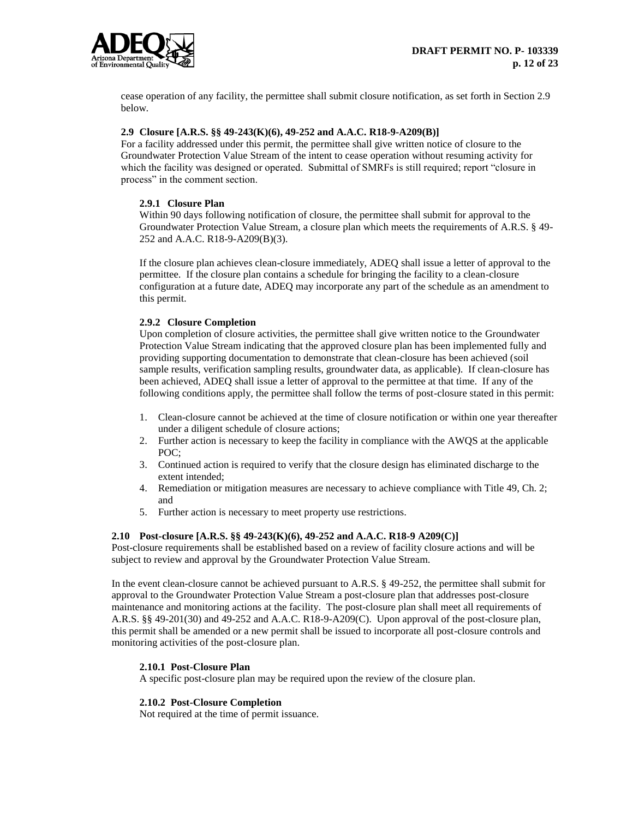

cease operation of any facility, the permittee shall submit closure notification, as set forth in Section 2.9 below.

## **2.9 Closure [A.R.S. §§ 49-243(K)(6), 49-252 and A.A.C. R18-9-A209(B)]**

For a facility addressed under this permit, the permittee shall give written notice of closure to the Groundwater Protection Value Stream of the intent to cease operation without resuming activity for which the facility was designed or operated. Submittal of SMRFs is still required; report "closure in process" in the comment section.

## **2.9.1 Closure Plan**

Within 90 days following notification of closure, the permittee shall submit for approval to the Groundwater Protection Value Stream, a closure plan which meets the requirements of A.R.S. § 49- 252 and A.A.C. R18-9-A209(B)(3).

If the closure plan achieves clean-closure immediately, ADEQ shall issue a letter of approval to the permittee. If the closure plan contains a schedule for bringing the facility to a clean-closure configuration at a future date, ADEQ may incorporate any part of the schedule as an amendment to this permit.

## **2.9.2 Closure Completion**

Upon completion of closure activities, the permittee shall give written notice to the Groundwater Protection Value Stream indicating that the approved closure plan has been implemented fully and providing supporting documentation to demonstrate that clean-closure has been achieved (soil sample results, verification sampling results, groundwater data, as applicable). If clean-closure has been achieved, ADEQ shall issue a letter of approval to the permittee at that time. If any of the following conditions apply, the permittee shall follow the terms of post-closure stated in this permit:

- 1. Clean-closure cannot be achieved at the time of closure notification or within one year thereafter under a diligent schedule of closure actions;
- 2. Further action is necessary to keep the facility in compliance with the AWQS at the applicable POC;
- 3. Continued action is required to verify that the closure design has eliminated discharge to the extent intended;
- 4. Remediation or mitigation measures are necessary to achieve compliance with Title 49, Ch. 2; and
- 5. Further action is necessary to meet property use restrictions.

## **2.10 Post-closure [A.R.S. §§ 49-243(K)(6), 49-252 and A.A.C. R18-9 A209(C)]**

Post-closure requirements shall be established based on a review of facility closure actions and will be subject to review and approval by the Groundwater Protection Value Stream.

In the event clean-closure cannot be achieved pursuant to A.R.S. § 49-252, the permittee shall submit for approval to the Groundwater Protection Value Stream a post-closure plan that addresses post-closure maintenance and monitoring actions at the facility. The post-closure plan shall meet all requirements of A.R.S. §§ 49-201(30) and 49-252 and A.A.C. R18-9-A209(C). Upon approval of the post-closure plan, this permit shall be amended or a new permit shall be issued to incorporate all post-closure controls and monitoring activities of the post-closure plan.

#### **2.10.1 Post-Closure Plan**

A specific post-closure plan may be required upon the review of the closure plan.

#### **2.10.2 Post-Closure Completion**

Not required at the time of permit issuance.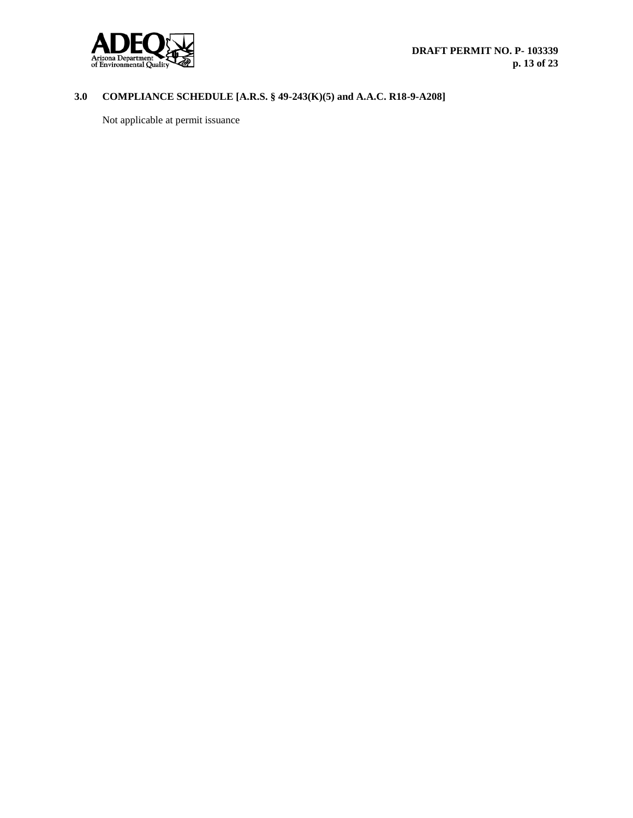

# **3.0 COMPLIANCE SCHEDULE [A.R.S. § 49-243(K)(5) and A.A.C. R18-9-A208]**

Not applicable at permit issuance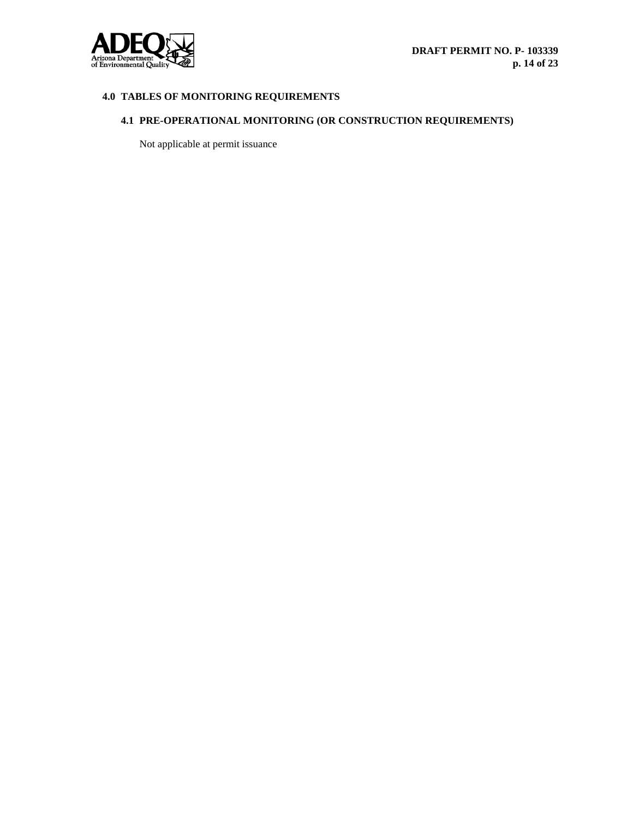

# **4.0 TABLES OF MONITORING REQUIREMENTS**

# **4.1 PRE-OPERATIONAL MONITORING (OR CONSTRUCTION REQUIREMENTS)**

Not applicable at permit issuance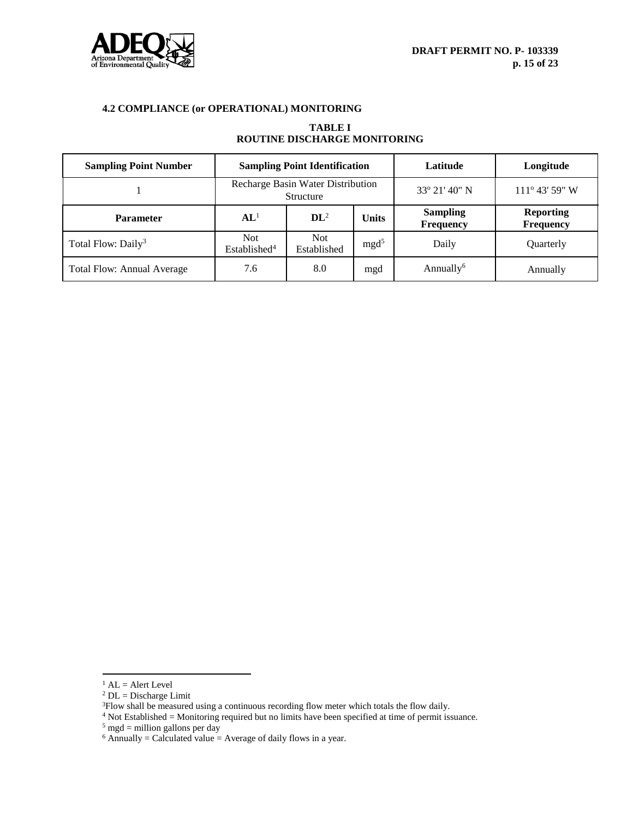

# **4.2 COMPLIANCE (or OPERATIONAL) MONITORING**

## **TABLE I ROUTINE DISCHARGE MONITORING**

| <b>Sampling Point Number</b>      | <b>Sampling Point Identification</b>           |                     |                  | Latitude                            | Longitude                            |
|-----------------------------------|------------------------------------------------|---------------------|------------------|-------------------------------------|--------------------------------------|
|                                   | Recharge Basin Water Distribution<br>Structure |                     |                  | $33^{\circ} 21' 40'' N$             | $111^{\circ}$ 43' 59" W              |
| <b>Parameter</b>                  | AL <sup>1</sup>                                | $\mathbf{DL}^2$     | <b>Units</b>     | <b>Sampling</b><br><b>Frequency</b> | <b>Reporting</b><br><b>Frequency</b> |
| Total Flow: Daily <sup>3</sup>    | Not.<br>Established <sup>4</sup>               | Not.<br>Established | mgd <sup>5</sup> | Daily                               | Quarterly                            |
| <b>Total Flow: Annual Average</b> | 7.6                                            | 8.0                 | mgd              | Annually <sup>6</sup>               | Annually                             |

 $\overline{a}$ 

 $<sup>1</sup>$  AL = Alert Level</sup>

 $2$  DL = Discharge Limit

<sup>&</sup>lt;sup>3</sup>Flow shall be measured using a continuous recording flow meter which totals the flow daily.

 $4$  Not Established = Monitoring required but no limits have been specified at time of permit issuance.

 $5 \text{ mgd}$  = million gallons per day

 $6$  Annually = Calculated value = Average of daily flows in a year.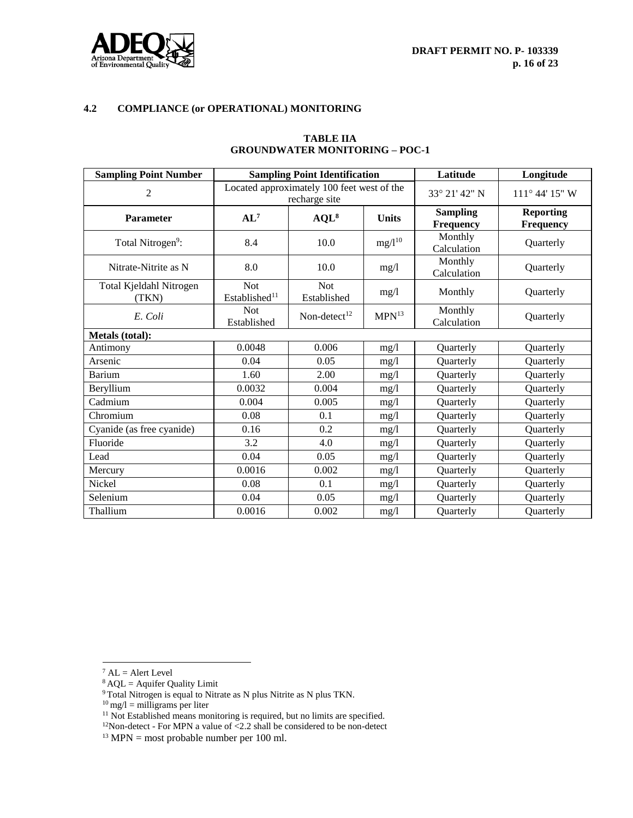



# **4.2 COMPLIANCE (or OPERATIONAL) MONITORING**

| <b>Sampling Point Number</b>     | <b>Sampling Point Identification</b>                        |                           |                   | Latitude                            | Longitude                            |
|----------------------------------|-------------------------------------------------------------|---------------------------|-------------------|-------------------------------------|--------------------------------------|
| 2                                | Located approximately 100 feet west of the<br>recharge site |                           |                   | 33° 21' 42" N                       | 111° 44' 15" W                       |
| <b>Parameter</b>                 | $AL^7$                                                      | $AQL^8$                   | <b>Units</b>      | <b>Sampling</b><br><b>Frequency</b> | <b>Reporting</b><br><b>Frequency</b> |
| Total Nitrogen <sup>9</sup> :    | 8.4                                                         | 10.0                      | $mg/l^{10}$       | Monthly<br>Calculation              | Quarterly                            |
| Nitrate-Nitrite as N             | 8.0                                                         | 10.0                      | mg/l              | Monthly<br>Calculation              | Quarterly                            |
| Total Kjeldahl Nitrogen<br>(TKN) | Not<br>Established <sup>11</sup>                            | <b>Not</b><br>Established | mg/l              | Monthly                             | Quarterly                            |
| E. Coli                          | <b>Not</b><br>Established                                   | Non-detect $12$           | MPN <sup>13</sup> | Monthly<br>Calculation              | Quarterly                            |
| Metals (total):                  |                                                             |                           |                   |                                     |                                      |
| Antimony                         | 0.0048                                                      | 0.006                     | mg/l              | Quarterly                           | Quarterly                            |
| Arsenic                          | 0.04                                                        | 0.05                      | mg/1              | Quarterly                           | Quarterly                            |
| <b>Barium</b>                    | 1.60                                                        | 2.00                      | mg/1              | Quarterly                           | Quarterly                            |
| Beryllium                        | 0.0032                                                      | 0.004                     | mg/l              | Quarterly                           | Quarterly                            |
| Cadmium                          | 0.004                                                       | 0.005                     | mg/l              | Quarterly                           | Quarterly                            |
| Chromium                         | 0.08                                                        | 0.1                       | mg/l              | Quarterly                           | Quarterly                            |
| Cyanide (as free cyanide)        | 0.16                                                        | 0.2                       | mg/1              | Quarterly                           | Quarterly                            |
| Fluoride                         | 3.2                                                         | 4.0                       | mg/1              | Quarterly                           | Quarterly                            |
| Lead                             | 0.04                                                        | 0.05                      | mg/l              | Quarterly                           | <b>Ouarterly</b>                     |
| Mercury                          | 0.0016                                                      | 0.002                     | mg/l              | Quarterly                           | Quarterly                            |
| Nickel                           | 0.08                                                        | 0.1                       | mg/l              | Quarterly                           | Quarterly                            |
| Selenium                         | 0.04                                                        | 0.05                      | mg/1              | Quarterly                           | Quarterly                            |
| Thallium                         | 0.0016                                                      | 0.002                     | mg/l              | Quarterly                           | Quarterly                            |

#### **TABLE IIA GROUNDWATER MONITORING – POC-1**

 $\overline{\phantom{a}}$  $^7$  AL = Alert Level

 $8$  AQL = Aquifer Quality Limit

<sup>&</sup>lt;sup>9</sup> Total Nitrogen is equal to Nitrate as N plus Nitrite as N plus TKN.

 $10 \text{ mg/l} = \text{milligrams per liter}$ 

<sup>&</sup>lt;sup>11</sup> Not Established means monitoring is required, but no limits are specified.

 $12$ Non-detect - For MPN a value of <2.2 shall be considered to be non-detect

 $13$  MPN = most probable number per 100 ml.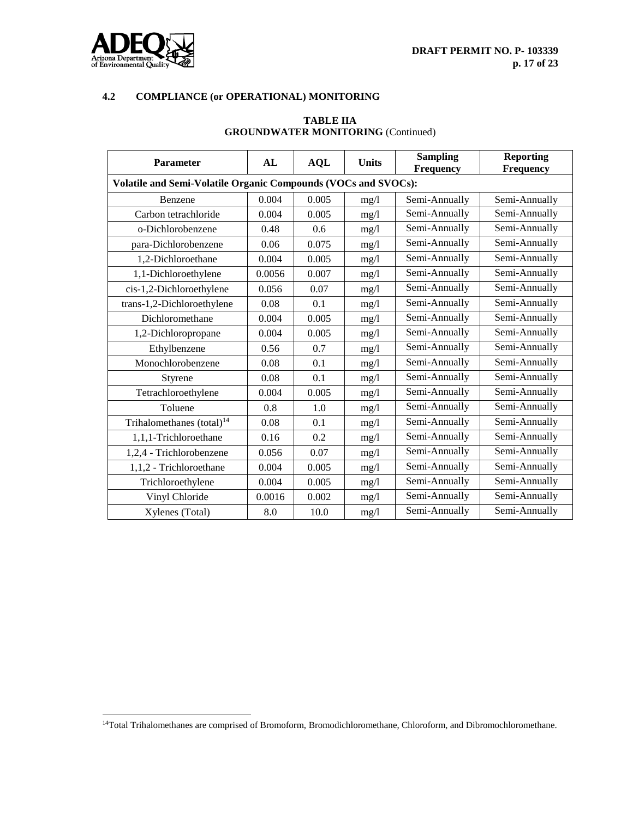

 $\overline{\phantom{a}}$ 

## **4.2 COMPLIANCE (or OPERATIONAL) MONITORING**

| <b>Parameter</b>                                               | AL     | <b>AQL</b> | <b>Units</b> | <b>Sampling</b><br><b>Frequency</b> | <b>Reporting</b><br><b>Frequency</b> |  |  |
|----------------------------------------------------------------|--------|------------|--------------|-------------------------------------|--------------------------------------|--|--|
| Volatile and Semi-Volatile Organic Compounds (VOCs and SVOCs): |        |            |              |                                     |                                      |  |  |
| Benzene                                                        | 0.004  | 0.005      | mg/1         | Semi-Annually                       | Semi-Annually                        |  |  |
| Carbon tetrachloride                                           | 0.004  | 0.005      | mg/l         | Semi-Annually                       | Semi-Annually                        |  |  |
| o-Dichlorobenzene                                              | 0.48   | 0.6        | mg/1         | Semi-Annually                       | Semi-Annually                        |  |  |
| para-Dichlorobenzene                                           | 0.06   | 0.075      | mg/l         | Semi-Annually                       | Semi-Annually                        |  |  |
| 1,2-Dichloroethane                                             | 0.004  | 0.005      | mg/1         | Semi-Annually                       | Semi-Annually                        |  |  |
| 1,1-Dichloroethylene                                           | 0.0056 | 0.007      | mg/l         | Semi-Annually                       | Semi-Annually                        |  |  |
| cis-1,2-Dichloroethylene                                       | 0.056  | 0.07       | mg/1         | Semi-Annually                       | Semi-Annually                        |  |  |
| trans-1,2-Dichloroethylene                                     | 0.08   | 0.1        | mg/l         | Semi-Annually                       | Semi-Annually                        |  |  |
| Dichloromethane                                                | 0.004  | 0.005      | mg/l         | Semi-Annually                       | Semi-Annually                        |  |  |
| 1,2-Dichloropropane                                            | 0.004  | 0.005      | mg/1         | Semi-Annually                       | Semi-Annually                        |  |  |
| Ethylbenzene                                                   | 0.56   | 0.7        | mg/l         | Semi-Annually                       | Semi-Annually                        |  |  |
| Monochlorobenzene                                              | 0.08   | 0.1        | mg/l         | Semi-Annually                       | Semi-Annually                        |  |  |
| Styrene                                                        | 0.08   | 0.1        | mg/1         | Semi-Annually                       | Semi-Annually                        |  |  |
| Tetrachloroethylene                                            | 0.004  | 0.005      | mg/l         | Semi-Annually                       | Semi-Annually                        |  |  |
| Toluene                                                        | 0.8    | 1.0        | mg/1         | Semi-Annually                       | Semi-Annually                        |  |  |
| Trihalomethanes (total) <sup>14</sup>                          | 0.08   | 0.1        | mg/l         | Semi-Annually                       | Semi-Annually                        |  |  |
| 1,1,1-Trichloroethane                                          | 0.16   | 0.2        | mg/l         | Semi-Annually                       | Semi-Annually                        |  |  |
| 1,2,4 - Trichlorobenzene                                       | 0.056  | 0.07       | mg/1         | Semi-Annually                       | Semi-Annually                        |  |  |
| 1,1,2 - Trichloroethane                                        | 0.004  | 0.005      | mg/l         | Semi-Annually                       | Semi-Annually                        |  |  |
| Trichloroethylene                                              | 0.004  | 0.005      | mg/l         | Semi-Annually                       | Semi-Annually                        |  |  |
| Vinyl Chloride                                                 | 0.0016 | 0.002      | mg/l         | Semi-Annually                       | Semi-Annually                        |  |  |
| Xylenes (Total)                                                | 8.0    | 10.0       | mg/1         | Semi-Annually                       | Semi-Annually                        |  |  |

## **TABLE IIA GROUNDWATER MONITORING** (Continued)

<sup>&</sup>lt;sup>14</sup>Total Trihalomethanes are comprised of Bromoform, Bromodichloromethane, Chloroform, and Dibromochloromethane.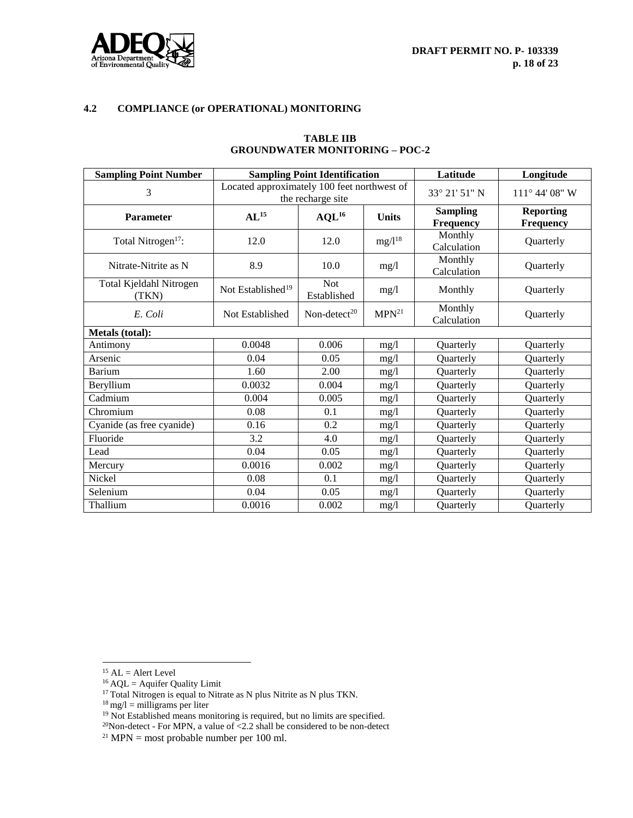

# **4.2 COMPLIANCE (or OPERATIONAL) MONITORING**

| <b>Sampling Point Number</b>     |                                             | <b>Sampling Point Identification</b> | Latitude          | Longitude                           |                                      |
|----------------------------------|---------------------------------------------|--------------------------------------|-------------------|-------------------------------------|--------------------------------------|
| 3                                | Located approximately 100 feet northwest of | the recharge site                    | 33° 21' 51" N     | 111° 44' 08" W                      |                                      |
| <b>Parameter</b>                 | $AL^{15}$                                   | $AQL^{16}$                           | <b>Units</b>      | <b>Sampling</b><br><b>Frequency</b> | <b>Reporting</b><br><b>Frequency</b> |
| Total Nitrogen <sup>17</sup> :   | 12.0                                        | 12.0                                 | $mg/l^{18}$       | Monthly<br>Calculation              | Quarterly                            |
| Nitrate-Nitrite as N             | 8.9                                         | 10.0                                 | mg/1              | Monthly<br>Calculation              | Quarterly                            |
| Total Kjeldahl Nitrogen<br>(TKN) | Not Established <sup>19</sup>               | <b>Not</b><br>Established            | mg/1              | Monthly                             | Quarterly                            |
| E. Coli                          | Not Established                             | Non-detect <sup>20</sup>             | MPN <sup>21</sup> | Monthly<br>Calculation              | Quarterly                            |
| Metals (total):                  |                                             |                                      |                   |                                     |                                      |
| Antimony                         | 0.0048                                      | 0.006                                | mg/l              | Quarterly                           | Quarterly                            |
| Arsenic                          | 0.04                                        | 0.05                                 | mg/1              | Quarterly                           | Quarterly                            |
| <b>Barium</b>                    | 1.60                                        | 2.00                                 | mg/1              | Quarterly                           | Quarterly                            |
| Beryllium                        | 0.0032                                      | 0.004                                | mg/1              | Quarterly                           | Quarterly                            |
| Cadmium                          | 0.004                                       | 0.005                                | mg/1              | Quarterly                           | Quarterly                            |
| Chromium                         | 0.08                                        | 0.1                                  | mg/1              | Quarterly                           | Quarterly                            |
| Cyanide (as free cyanide)        | 0.16                                        | 0.2                                  | mg/1              | Quarterly                           | Quarterly                            |
| Fluoride                         | 3.2                                         | 4.0                                  | mg/1              | Quarterly                           | Quarterly                            |
| Lead                             | 0.04                                        | 0.05                                 | mg/1              | Quarterly                           | Quarterly                            |
| Mercury                          | 0.0016                                      | 0.002                                | mg/l              | Quarterly                           | Quarterly                            |
| Nickel                           | 0.08                                        | 0.1                                  | mg/1              | Quarterly                           | Quarterly                            |
| Selenium                         | 0.04                                        | 0.05                                 | mg/l              | Quarterly                           | Quarterly                            |
| Thallium                         | 0.0016                                      | 0.002                                | mg/1              | <b>Ouarterly</b>                    | Quarterly                            |

#### **TABLE IIB GROUNDWATER MONITORING – POC-2**

 $\overline{\phantom{a}}$ 

 $^{15}$  AL = Alert Level

 $^{16}$  AQL = Aquifer Quality Limit

 $17$  Total Nitrogen is equal to Nitrate as N plus Nitrite as N plus TKN.

 $18 \text{ mg/l} = \text{milligrams per liter}$ 

<sup>&</sup>lt;sup>19</sup> Not Established means monitoring is required, but no limits are specified.

 $20$ Non-detect - For MPN, a value of <2.2 shall be considered to be non-detect

 $21$  MPN = most probable number per 100 ml.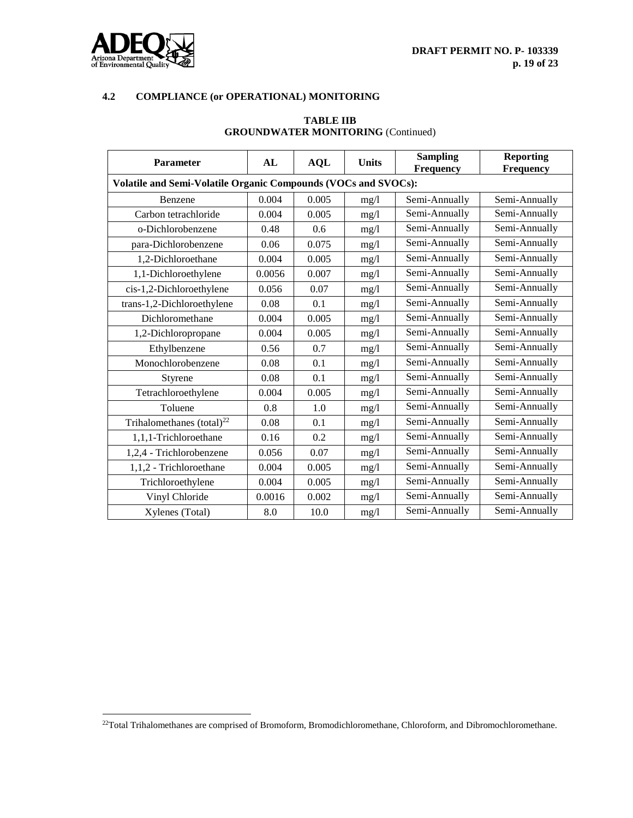

 $\overline{\phantom{a}}$ 

## **4.2 COMPLIANCE (or OPERATIONAL) MONITORING**

| <b>Parameter</b>                                               | AL     | <b>AQL</b> | <b>Units</b> | <b>Sampling</b><br><b>Frequency</b> | <b>Reporting</b><br><b>Frequency</b> |  |  |
|----------------------------------------------------------------|--------|------------|--------------|-------------------------------------|--------------------------------------|--|--|
| Volatile and Semi-Volatile Organic Compounds (VOCs and SVOCs): |        |            |              |                                     |                                      |  |  |
| Benzene                                                        | 0.004  | 0.005      | mg/1         | Semi-Annually                       | Semi-Annually                        |  |  |
| Carbon tetrachloride                                           | 0.004  | 0.005      | mg/l         | Semi-Annually                       | Semi-Annually                        |  |  |
| o-Dichlorobenzene                                              | 0.48   | 0.6        | mg/1         | Semi-Annually                       | Semi-Annually                        |  |  |
| para-Dichlorobenzene                                           | 0.06   | 0.075      | mg/l         | Semi-Annually                       | Semi-Annually                        |  |  |
| 1,2-Dichloroethane                                             | 0.004  | 0.005      | mg/1         | Semi-Annually                       | Semi-Annually                        |  |  |
| 1,1-Dichloroethylene                                           | 0.0056 | 0.007      | mg/l         | Semi-Annually                       | Semi-Annually                        |  |  |
| cis-1,2-Dichloroethylene                                       | 0.056  | 0.07       | mg/1         | Semi-Annually                       | Semi-Annually                        |  |  |
| trans-1,2-Dichloroethylene                                     | 0.08   | 0.1        | mg/l         | Semi-Annually                       | Semi-Annually                        |  |  |
| Dichloromethane                                                | 0.004  | 0.005      | mg/l         | Semi-Annually                       | Semi-Annually                        |  |  |
| 1,2-Dichloropropane                                            | 0.004  | 0.005      | mg/1         | Semi-Annually                       | Semi-Annually                        |  |  |
| Ethylbenzene                                                   | 0.56   | 0.7        | mg/l         | Semi-Annually                       | Semi-Annually                        |  |  |
| Monochlorobenzene                                              | 0.08   | 0.1        | mg/l         | Semi-Annually                       | Semi-Annually                        |  |  |
| Styrene                                                        | 0.08   | 0.1        | mg/1         | Semi-Annually                       | Semi-Annually                        |  |  |
| Tetrachloroethylene                                            | 0.004  | 0.005      | mg/l         | Semi-Annually                       | Semi-Annually                        |  |  |
| Toluene                                                        | 0.8    | 1.0        | mg/1         | Semi-Annually                       | Semi-Annually                        |  |  |
| Trihalomethanes (total) $^{22}$                                | 0.08   | 0.1        | mg/l         | Semi-Annually                       | Semi-Annually                        |  |  |
| 1,1,1-Trichloroethane                                          | 0.16   | 0.2        | mg/l         | Semi-Annually                       | Semi-Annually                        |  |  |
| 1,2,4 - Trichlorobenzene                                       | 0.056  | 0.07       | mg/1         | Semi-Annually                       | Semi-Annually                        |  |  |
| 1,1,2 - Trichloroethane                                        | 0.004  | 0.005      | mg/l         | Semi-Annually                       | Semi-Annually                        |  |  |
| Trichloroethylene                                              | 0.004  | 0.005      | mg/1         | Semi-Annually                       | Semi-Annually                        |  |  |
| Vinyl Chloride                                                 | 0.0016 | 0.002      | mg/l         | Semi-Annually                       | Semi-Annually                        |  |  |
| Xylenes (Total)                                                | 8.0    | 10.0       | mg/1         | Semi-Annually                       | Semi-Annually                        |  |  |

## **TABLE IIB GROUNDWATER MONITORING** (Continued)

 $^{22}$ Total Trihalomethanes are comprised of Bromoform, Bromodichloromethane, Chloroform, and Dibromochloromethane.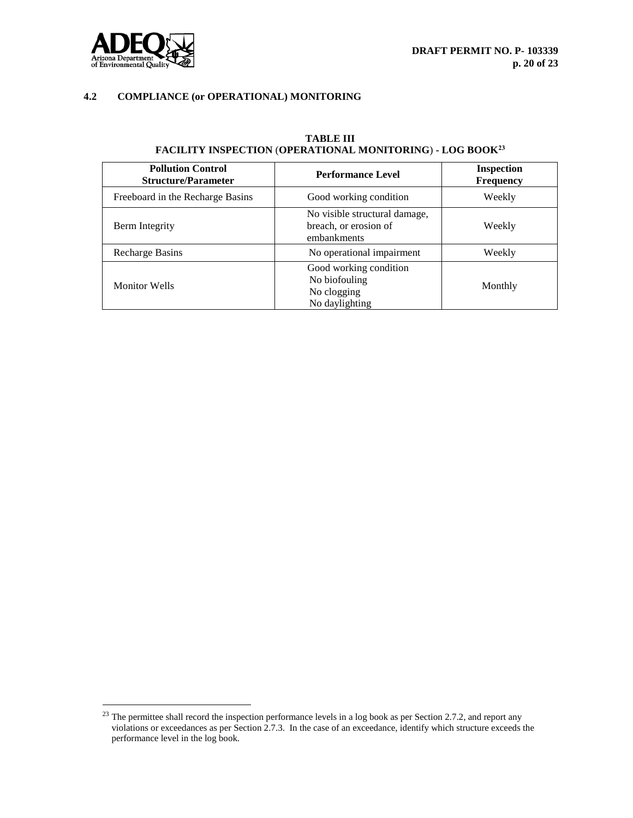



 $\overline{\phantom{a}}$ 

## **4.2 COMPLIANCE (or OPERATIONAL) MONITORING**

| <b>Pollution Control</b><br><b>Structure/Parameter</b> | <b>Performance Level</b>                                                 | <b>Inspection</b><br><b>Frequency</b> |  |
|--------------------------------------------------------|--------------------------------------------------------------------------|---------------------------------------|--|
| Freeboard in the Recharge Basins                       | Good working condition                                                   | Weekly                                |  |
| Berm Integrity                                         | No visible structural damage,<br>breach, or erosion of<br>embankments    | Weekly                                |  |
| Recharge Basins                                        | No operational impairment                                                | Weekly                                |  |
| <b>Monitor Wells</b>                                   | Good working condition<br>No biofouling<br>No clogging<br>No daylighting | Monthly                               |  |

## **TABLE III FACILITY INSPECTION** (**OPERATIONAL MONITORING**) **- LOG BOOK<sup>23</sup>**

 $^{23}$  The permittee shall record the inspection performance levels in a log book as per Section 2.7.2, and report any violations or exceedances as per Section 2.7.3. In the case of an exceedance, identify which structure exceeds the performance level in the log book.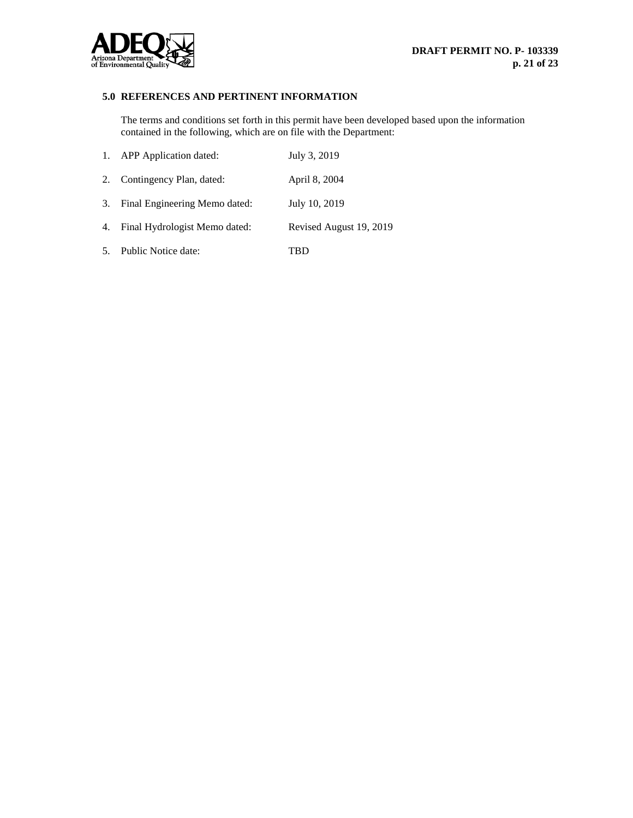

## **5.0 REFERENCES AND PERTINENT INFORMATION**

The terms and conditions set forth in this permit have been developed based upon the information contained in the following, which are on file with the Department:

| 1. APP Application dated:        | July 3, 2019            |
|----------------------------------|-------------------------|
| 2. Contingency Plan, dated:      | April 8, 2004           |
| 3. Final Engineering Memo dated: | July 10, 2019           |
| 4. Final Hydrologist Memo dated: | Revised August 19, 2019 |
| 5. Public Notice date:           | TBD                     |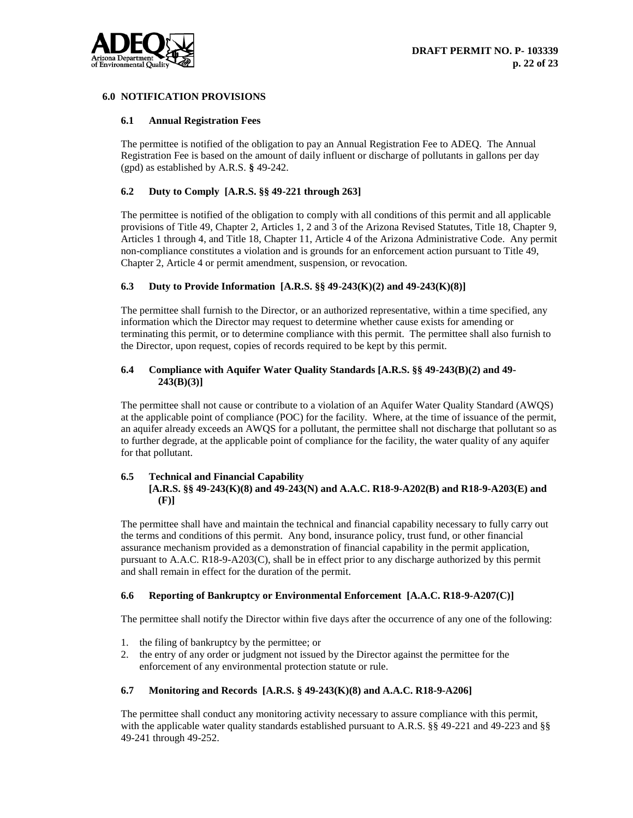

## **6.0 NOTIFICATION PROVISIONS**

## **6.1 Annual Registration Fees**

The permittee is notified of the obligation to pay an Annual Registration Fee to ADEQ. The Annual Registration Fee is based on the amount of daily influent or discharge of pollutants in gallons per day (gpd) as established by A.R.S. **§** 49-242.

## **6.2 Duty to Comply [A.R.S. §§ 49-221 through 263]**

The permittee is notified of the obligation to comply with all conditions of this permit and all applicable provisions of Title 49, Chapter 2, Articles 1, 2 and 3 of the Arizona Revised Statutes, Title 18, Chapter 9, Articles 1 through 4, and Title 18, Chapter 11, Article 4 of the Arizona Administrative Code. Any permit non-compliance constitutes a violation and is grounds for an enforcement action pursuant to Title 49, Chapter 2, Article 4 or permit amendment, suspension, or revocation.

## **6.3 Duty to Provide Information [A.R.S. §§ 49-243(K)(2) and 49-243(K)(8)]**

The permittee shall furnish to the Director, or an authorized representative, within a time specified, any information which the Director may request to determine whether cause exists for amending or terminating this permit, or to determine compliance with this permit. The permittee shall also furnish to the Director, upon request, copies of records required to be kept by this permit.

## **6.4 Compliance with Aquifer Water Quality Standards [A.R.S. §§ 49-243(B)(2) and 49- 243(B)(3)]**

The permittee shall not cause or contribute to a violation of an Aquifer Water Quality Standard (AWQS) at the applicable point of compliance (POC) for the facility. Where, at the time of issuance of the permit, an aquifer already exceeds an AWQS for a pollutant, the permittee shall not discharge that pollutant so as to further degrade, at the applicable point of compliance for the facility, the water quality of any aquifer for that pollutant.

#### **6.5 Technical and Financial Capability**

## **[A.R.S. §§ 49-243(K)(8) and 49-243(N) and A.A.C. R18-9-A202(B) and R18-9-A203(E) and (F)]**

The permittee shall have and maintain the technical and financial capability necessary to fully carry out the terms and conditions of this permit. Any bond, insurance policy, trust fund, or other financial assurance mechanism provided as a demonstration of financial capability in the permit application, pursuant to A.A.C. R18-9-A203(C), shall be in effect prior to any discharge authorized by this permit and shall remain in effect for the duration of the permit.

## **6.6 Reporting of Bankruptcy or Environmental Enforcement [A.A.C. R18-9-A207(C)]**

The permittee shall notify the Director within five days after the occurrence of any one of the following:

- 1. the filing of bankruptcy by the permittee; or
- 2. the entry of any order or judgment not issued by the Director against the permittee for the enforcement of any environmental protection statute or rule.

#### **6.7 Monitoring and Records [A.R.S. § 49-243(K)(8) and A.A.C. R18-9-A206]**

The permittee shall conduct any monitoring activity necessary to assure compliance with this permit, with the applicable water quality standards established pursuant to A.R.S. §§ 49-221 and 49-223 and §§ 49-241 through 49-252.